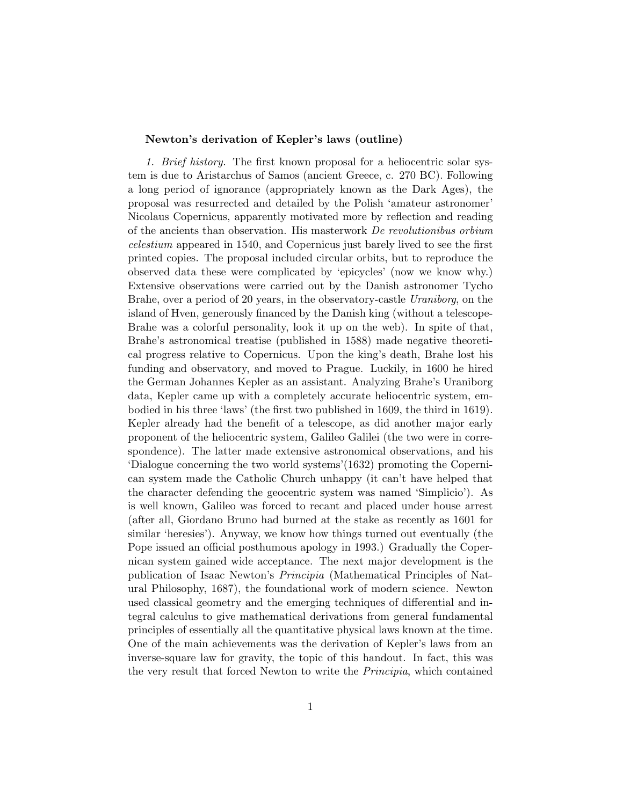## Newton's derivation of Kepler's laws (outline)

1. Brief history. The first known proposal for a heliocentric solar system is due to Aristarchus of Samos (ancient Greece, c. 270 BC). Following a long period of ignorance (appropriately known as the Dark Ages), the proposal was resurrected and detailed by the Polish 'amateur astronomer' Nicolaus Copernicus, apparently motivated more by reflection and reading of the ancients than observation. His masterwork De revolutionibus orbium celestium appeared in 1540, and Copernicus just barely lived to see the first printed copies. The proposal included circular orbits, but to reproduce the observed data these were complicated by 'epicycles' (now we know why.) Extensive observations were carried out by the Danish astronomer Tycho Brahe, over a period of 20 years, in the observatory-castle Uraniborg, on the island of Hven, generously financed by the Danish king (without a telescope-Brahe was a colorful personality, look it up on the web). In spite of that, Brahe's astronomical treatise (published in 1588) made negative theoretical progress relative to Copernicus. Upon the king's death, Brahe lost his funding and observatory, and moved to Prague. Luckily, in 1600 he hired the German Johannes Kepler as an assistant. Analyzing Brahe's Uraniborg data, Kepler came up with a completely accurate heliocentric system, embodied in his three 'laws' (the first two published in 1609, the third in 1619). Kepler already had the benefit of a telescope, as did another major early proponent of the heliocentric system, Galileo Galilei (the two were in correspondence). The latter made extensive astronomical observations, and his 'Dialogue concerning the two world systems'(1632) promoting the Copernican system made the Catholic Church unhappy (it can't have helped that the character defending the geocentric system was named 'Simplicio'). As is well known, Galileo was forced to recant and placed under house arrest (after all, Giordano Bruno had burned at the stake as recently as 1601 for similar 'heresies'). Anyway, we know how things turned out eventually (the Pope issued an official posthumous apology in 1993.) Gradually the Copernican system gained wide acceptance. The next major development is the publication of Isaac Newton's Principia (Mathematical Principles of Natural Philosophy, 1687), the foundational work of modern science. Newton used classical geometry and the emerging techniques of differential and integral calculus to give mathematical derivations from general fundamental principles of essentially all the quantitative physical laws known at the time. One of the main achievements was the derivation of Kepler's laws from an inverse-square law for gravity, the topic of this handout. In fact, this was the very result that forced Newton to write the Principia, which contained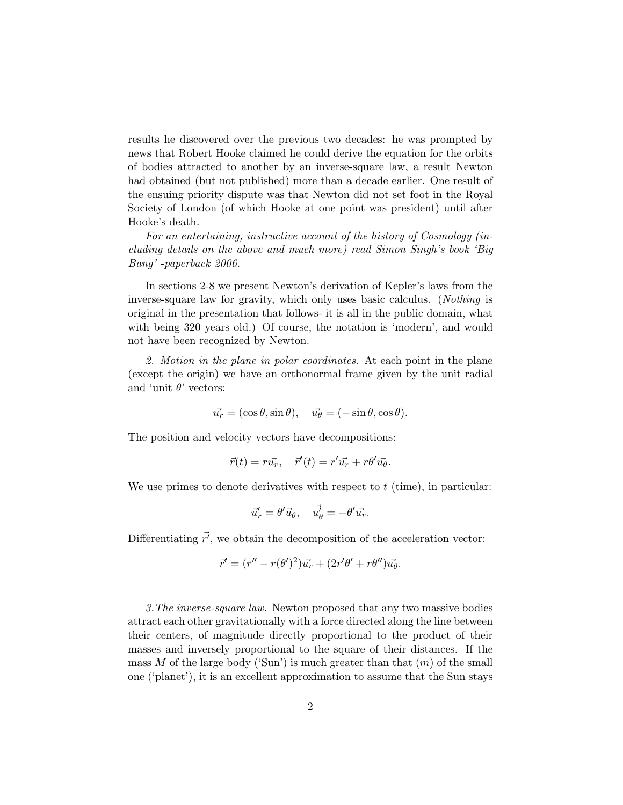results he discovered over the previous two decades: he was prompted by news that Robert Hooke claimed he could derive the equation for the orbits of bodies attracted to another by an inverse-square law, a result Newton had obtained (but not published) more than a decade earlier. One result of the ensuing priority dispute was that Newton did not set foot in the Royal Society of London (of which Hooke at one point was president) until after Hooke's death.

For an entertaining, instructive account of the history of Cosmology (including details on the above and much more) read Simon Singh's book 'Big Bang' -paperback 2006.

In sections 2-8 we present Newton's derivation of Kepler's laws from the inverse-square law for gravity, which only uses basic calculus. (*Nothing* is original in the presentation that follows- it is all in the public domain, what with being 320 years old.) Of course, the notation is 'modern', and would not have been recognized by Newton.

2. Motion in the plane in polar coordinates. At each point in the plane (except the origin) we have an orthonormal frame given by the unit radial and 'unit  $\theta$ ' vectors:

$$
\vec{u_r} = (\cos \theta, \sin \theta), \quad \vec{u_\theta} = (-\sin \theta, \cos \theta).
$$

The position and velocity vectors have decompositions:

$$
\vec{r}(t) = r\vec{u_r}, \quad \vec{r}'(t) = r'\vec{u_r} + r\theta'\vec{u_{\theta}}.
$$

We use primes to denote derivatives with respect to  $t$  (time), in particular:

$$
\vec{u}'_r = \theta' \vec{u}_{\theta}, \quad \vec{u'_{\theta}} = -\theta' \vec{u_r}.
$$

Differentiating  $\vec{r'}$ , we obtain the decomposition of the acceleration vector:

$$
\vec{r}' = (r'' - r(\theta')^2)\vec{u_r} + (2r'\theta' + r\theta'')\vec{u_{\theta}}.
$$

3.The inverse-square law. Newton proposed that any two massive bodies attract each other gravitationally with a force directed along the line between their centers, of magnitude directly proportional to the product of their masses and inversely proportional to the square of their distances. If the mass M of the large body ('Sun') is much greater than that  $(m)$  of the small one ('planet'), it is an excellent approximation to assume that the Sun stays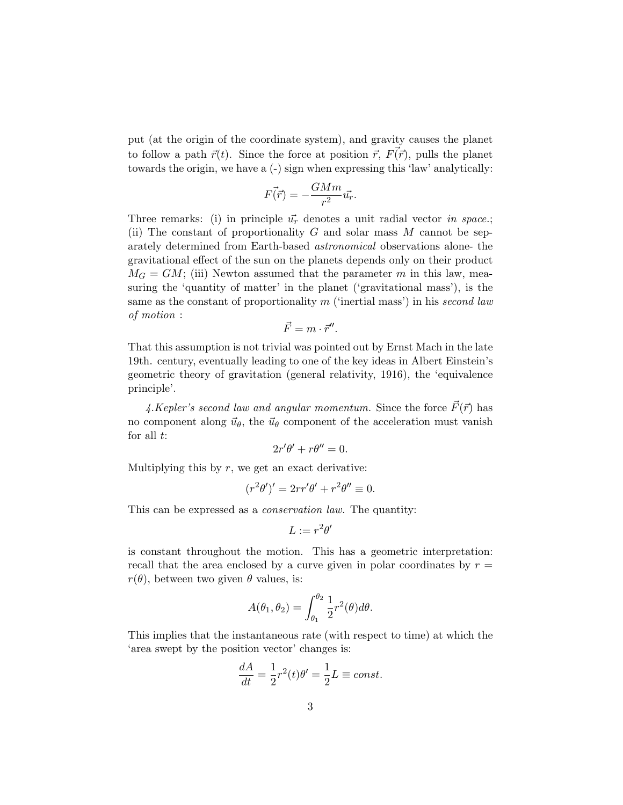put (at the origin of the coordinate system), and gravity causes the planet to follow a path  $\vec{r}(t)$ . Since the force at position  $\vec{r}, F(\vec{r})$ , pulls the planet towards the origin, we have a (-) sign when expressing this 'law' analytically:

$$
F(\vec{r}) = -\frac{GMm}{r^2}\vec{u_r}.
$$

Three remarks: (i) in principle  $\vec{u}_r$  denotes a unit radial vector in space.; (ii) The constant of proportionality  $G$  and solar mass  $M$  cannot be separately determined from Earth-based astronomical observations alone- the gravitational effect of the sun on the planets depends only on their product  $M_G = GM$ ; (iii) Newton assumed that the parameter m in this law, measuring the 'quantity of matter' in the planet ('gravitational mass'), is the same as the constant of proportionality  $m$  ('inertial mass') in his second law of motion :

$$
\vec{F}=m\cdot\vec{r}^{\prime\prime}.
$$

That this assumption is not trivial was pointed out by Ernst Mach in the late 19th. century, eventually leading to one of the key ideas in Albert Einstein's geometric theory of gravitation (general relativity, 1916), the 'equivalence principle'.

4.Kepler's second law and angular momentum. Since the force  $\vec{F}(\vec{r})$  has no component along  $\vec{u}_{\theta}$ , the  $\vec{u}_{\theta}$  component of the acceleration must vanish for all  $t$ :

$$
2r'\theta' + r\theta'' = 0.
$$

Multiplying this by  $r$ , we get an exact derivative:

$$
(r^2\theta')' = 2rr'\theta' + r^2\theta'' \equiv 0.
$$

This can be expressed as a *conservation law*. The quantity:

$$
L := r^2 \theta'
$$

is constant throughout the motion. This has a geometric interpretation: recall that the area enclosed by a curve given in polar coordinates by  $r =$  $r(\theta)$ , between two given  $\theta$  values, is:

$$
A(\theta_1, \theta_2) = \int_{\theta_1}^{\theta_2} \frac{1}{2} r^2(\theta) d\theta.
$$

This implies that the instantaneous rate (with respect to time) at which the 'area swept by the position vector' changes is:

$$
\frac{dA}{dt} = \frac{1}{2}r^2(t)\theta' = \frac{1}{2}L \equiv const.
$$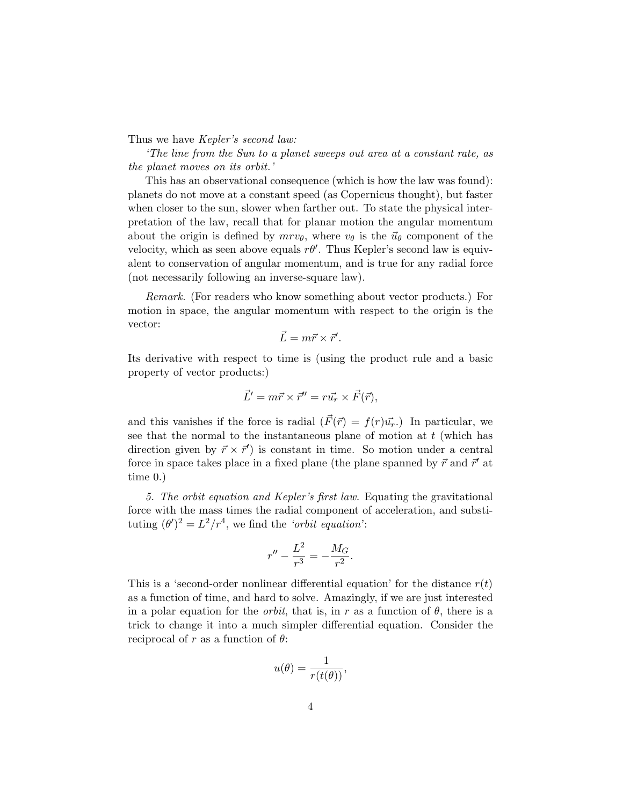Thus we have *Kepler's second law*:

'The line from the Sun to a planet sweeps out area at a constant rate, as the planet moves on its orbit.'

This has an observational consequence (which is how the law was found): planets do not move at a constant speed (as Copernicus thought), but faster when closer to the sun, slower when farther out. To state the physical interpretation of the law, recall that for planar motion the angular momentum about the origin is defined by  $mrv_{\theta}$ , where  $v_{\theta}$  is the  $\vec{u}_{\theta}$  component of the velocity, which as seen above equals  $r\theta'$ . Thus Kepler's second law is equivalent to conservation of angular momentum, and is true for any radial force (not necessarily following an inverse-square law).

Remark. (For readers who know something about vector products.) For motion in space, the angular momentum with respect to the origin is the vector:

$$
\vec{L} = m\vec{r} \times \vec{r}'.
$$

Its derivative with respect to time is (using the product rule and a basic property of vector products:)

$$
\vec{L}' = m\vec{r} \times \vec{r}'' = r\vec{u_r} \times \vec{F}(\vec{r}),
$$

and this vanishes if the force is radial  $(\vec{F}(\vec{r}) = f(r) \vec{u_r})$ . In particular, we see that the normal to the instantaneous plane of motion at  $t$  (which has direction given by  $\vec{r} \times \vec{r}'$  is constant in time. So motion under a central force in space takes place in a fixed plane (the plane spanned by  $\vec{r}$  and  $\vec{r}'$  at time 0.)

5. The orbit equation and Kepler's first law. Equating the gravitational force with the mass times the radial component of acceleration, and substituting  $(\theta')^2 = L^2/r^4$ , we find the 'orbit equation':

$$
r'' - \frac{L^2}{r^3} = -\frac{M_G}{r^2}.
$$

This is a 'second-order nonlinear differential equation' for the distance  $r(t)$ as a function of time, and hard to solve. Amazingly, if we are just interested in a polar equation for the *orbit*, that is, in r as a function of  $\theta$ , there is a trick to change it into a much simpler differential equation. Consider the reciprocal of r as a function of  $\theta$ :

$$
u(\theta) = \frac{1}{r(t(\theta))},
$$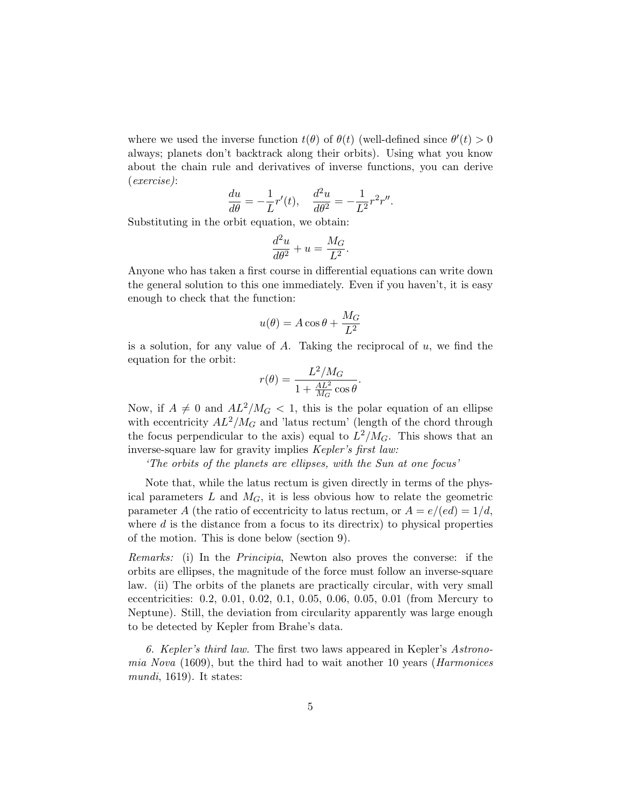where we used the inverse function  $t(\theta)$  of  $\theta(t)$  (well-defined since  $\theta'(t) > 0$ always; planets don't backtrack along their orbits). Using what you know about the chain rule and derivatives of inverse functions, you can derive (exercise):

$$
\frac{du}{d\theta}=-\frac{1}{L}r'(t),\quad \frac{d^2u}{d\theta^2}=-\frac{1}{L^2}r^2r''.
$$

Substituting in the orbit equation, we obtain:

$$
\frac{d^2u}{d\theta^2} + u = \frac{M_G}{L^2}.
$$

Anyone who has taken a first course in differential equations can write down the general solution to this one immediately. Even if you haven't, it is easy enough to check that the function:

$$
u(\theta) = A\cos\theta + \frac{M_G}{L^2}
$$

is a solution, for any value of  $A$ . Taking the reciprocal of  $u$ , we find the equation for the orbit:

$$
r(\theta) = \frac{L^2/M_G}{1 + \frac{AL^2}{M_G}\cos\theta}.
$$

Now, if  $A \neq 0$  and  $AL^2/M_G < 1$ , this is the polar equation of an ellipse with eccentricity  $AL^2/M_G$  and 'latus rectum' (length of the chord through the focus perpendicular to the axis) equal to  $L^2/M_G$ . This shows that an inverse-square law for gravity implies Kepler's first law:

'The orbits of the planets are ellipses, with the Sun at one focus'

Note that, while the latus rectum is given directly in terms of the physical parameters  $L$  and  $M_G$ , it is less obvious how to relate the geometric parameter A (the ratio of eccentricity to latus rectum, or  $A = e/(ed) = 1/d$ , where  $d$  is the distance from a focus to its directrix) to physical properties of the motion. This is done below (section 9).

Remarks: (i) In the Principia, Newton also proves the converse: if the orbits are ellipses, the magnitude of the force must follow an inverse-square law. (ii) The orbits of the planets are practically circular, with very small eccentricities: 0.2, 0.01, 0.02, 0.1, 0.05, 0.06, 0.05, 0.01 (from Mercury to Neptune). Still, the deviation from circularity apparently was large enough to be detected by Kepler from Brahe's data.

6. Kepler's third law. The first two laws appeared in Kepler's Astronomia Nova (1609), but the third had to wait another 10 years (Harmonices mundi, 1619). It states: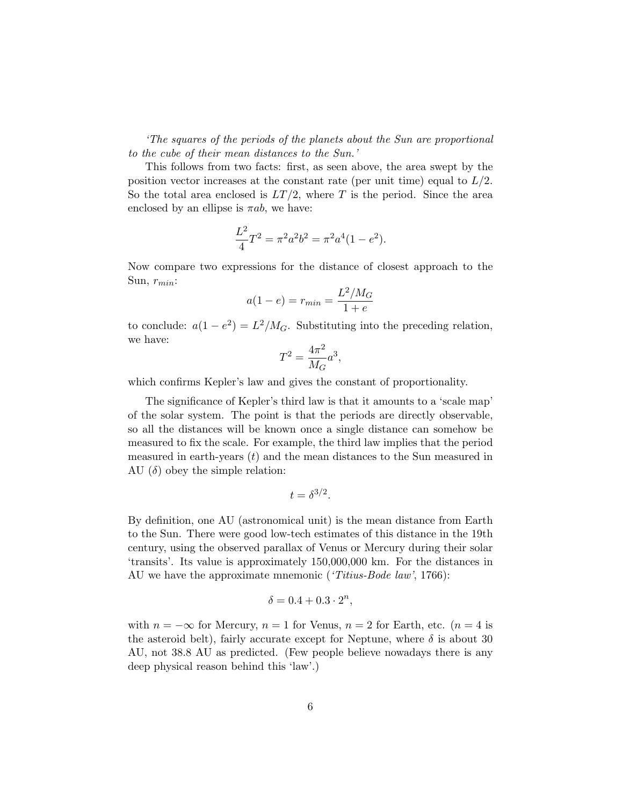'The squares of the periods of the planets about the Sun are proportional to the cube of their mean distances to the Sun.'

This follows from two facts: first, as seen above, the area swept by the position vector increases at the constant rate (per unit time) equal to  $L/2$ . So the total area enclosed is  $LT/2$ , where T is the period. Since the area enclosed by an ellipse is  $\pi ab$ , we have:

$$
\frac{L^2}{4}T^2 = \pi^2 a^2 b^2 = \pi^2 a^4 (1 - e^2).
$$

Now compare two expressions for the distance of closest approach to the Sun,  $r_{min}$ :

$$
a(1 - e) = r_{min} = \frac{L^2 / M_G}{1 + e}
$$

to conclude:  $a(1-e^2) = L^2/M_G$ . Substituting into the preceding relation, we have:

$$
T^2=\frac{4\pi^2}{M_G}a^3,
$$

which confirms Kepler's law and gives the constant of proportionality.

The significance of Kepler's third law is that it amounts to a 'scale map' of the solar system. The point is that the periods are directly observable, so all the distances will be known once a single distance can somehow be measured to fix the scale. For example, the third law implies that the period measured in earth-years  $(t)$  and the mean distances to the Sun measured in AU  $(\delta)$  obey the simple relation:

$$
t = \delta^{3/2}.
$$

By definition, one AU (astronomical unit) is the mean distance from Earth to the Sun. There were good low-tech estimates of this distance in the 19th century, using the observed parallax of Venus or Mercury during their solar 'transits'. Its value is approximately 150,000,000 km. For the distances in AU we have the approximate mnemonic ('Titius-Bode law', 1766):

$$
\delta = 0.4 + 0.3 \cdot 2^n,
$$

with  $n = -\infty$  for Mercury,  $n = 1$  for Venus,  $n = 2$  for Earth, etc. ( $n = 4$  is the asteroid belt), fairly accurate except for Neptune, where  $\delta$  is about 30 AU, not 38.8 AU as predicted. (Few people believe nowadays there is any deep physical reason behind this 'law'.)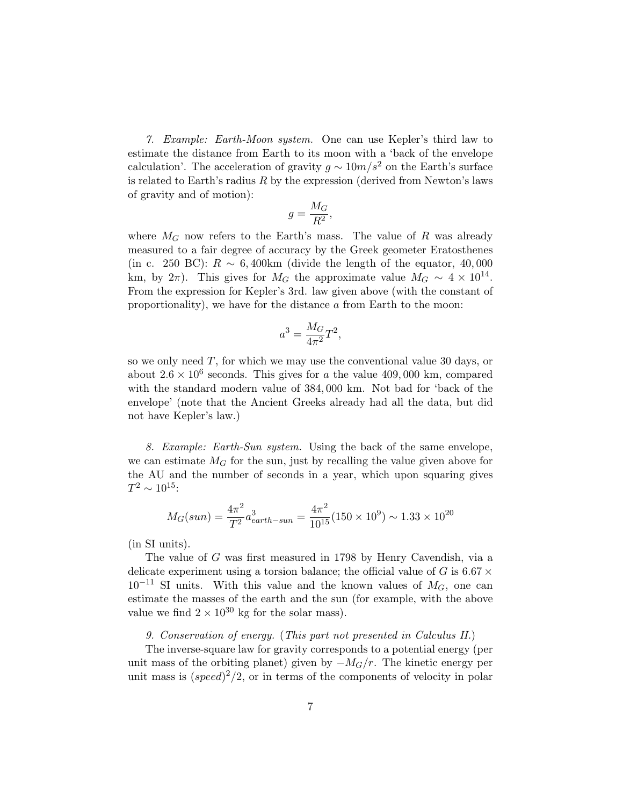7. Example: Earth-Moon system. One can use Kepler's third law to estimate the distance from Earth to its moon with a 'back of the envelope calculation'. The acceleration of gravity  $g \sim 10m/s^2$  on the Earth's surface is related to Earth's radius  $R$  by the expression (derived from Newton's laws of gravity and of motion):

$$
g=\frac{M_G}{R^2},
$$

where  $M_G$  now refers to the Earth's mass. The value of R was already measured to a fair degree of accuracy by the Greek geometer Eratosthenes (in c. 250 BC):  $R \sim 6,400 \text{km}$  (divide the length of the equator, 40,000) km, by  $2\pi$ ). This gives for  $M_G$  the approximate value  $M_G \sim 4 \times 10^{14}$ . From the expression for Kepler's 3rd. law given above (with the constant of proportionality), we have for the distance  $\alpha$  from Earth to the moon:

$$
a^3 = \frac{M_G}{4\pi^2}T^2,
$$

so we only need  $T$ , for which we may use the conventional value 30 days, or about  $2.6 \times 10^6$  seconds. This gives for a the value 409,000 km, compared with the standard modern value of 384, 000 km. Not bad for 'back of the envelope' (note that the Ancient Greeks already had all the data, but did not have Kepler's law.)

8. Example: Earth-Sun system. Using the back of the same envelope, we can estimate  $M_G$  for the sun, just by recalling the value given above for the AU and the number of seconds in a year, which upon squaring gives  $T^2 \sim 10^{15}$ :

$$
M_G(sun) = \frac{4\pi^2}{T^2} a_{earth-sum}^3 = \frac{4\pi^2}{10^{15}} (150 \times 10^9) \sim 1.33 \times 10^{20}
$$

(in SI units).

The value of G was first measured in 1798 by Henry Cavendish, via a delicate experiment using a torsion balance; the official value of G is 6.67  $\times$  $10^{-11}$  SI units. With this value and the known values of  $M_G$ , one can estimate the masses of the earth and the sun (for example, with the above value we find  $2 \times 10^{30}$  kg for the solar mass).

9. Conservation of energy. (This part not presented in Calculus II.)

The inverse-square law for gravity corresponds to a potential energy (per unit mass of the orbiting planet) given by  $-M<sub>G</sub>/r$ . The kinetic energy per unit mass is  $(speed)^2/2$ , or in terms of the components of velocity in polar